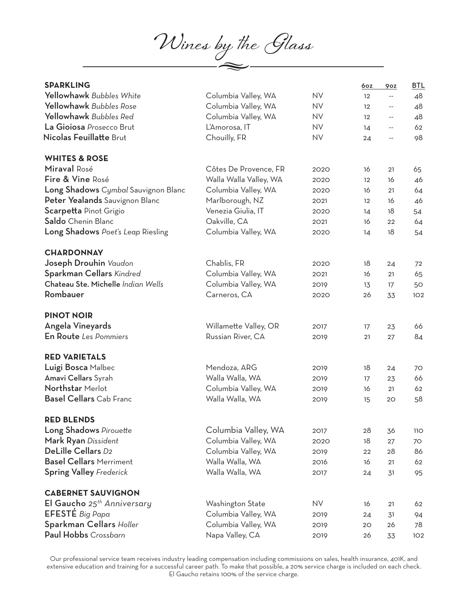**Wines by the Glass**

| <b>SPARKLING</b>                    |                        |           | 6oz               | 90Z                      | <b>BTL</b> |
|-------------------------------------|------------------------|-----------|-------------------|--------------------------|------------|
| Yellowhawk Bubbles White            | Columbia Valley, WA    | <b>NV</b> | 12                | --                       | 48         |
| Yellowhawk Bubbles Rose             | Columbia Valley, WA    | <b>NV</b> | $12 \overline{ }$ | $-\,-$                   | 48         |
| Yellowhawk Bubbles Red              | Columbia Valley, WA    | <b>NV</b> | 12                | $\overline{\phantom{m}}$ | 48         |
| La Gioiosa Prosecco Brut            | L'Amorosa, IT          | <b>NV</b> | 14                | $-$                      | 62         |
| Nicolas Feuillatte Brut             | Chouilly, FR           | <b>NV</b> | 24                | --                       | 98         |
| <b>WHITES &amp; ROSE</b>            |                        |           |                   |                          |            |
| Miraval Rosé                        | Côtes De Provence, FR  | 2020      | 16                | 21                       | 65         |
| Fire & Vine Rosé                    | Walla Walla Valley, WA | 2020      | $12 \overline{ }$ | 16                       | 46         |
| Long Shadows Cymbal Sauvignon Blanc | Columbia Valley, WA    | 2020      | 16                | 21                       | 64         |
| Peter Yealands Sauvignon Blanc      | Marlborough, NZ        | 2021      | 12                | 16                       | 46         |
| Scarpetta Pinot Grigio              | Venezia Giulia, IT     | 2020      | 14                | 18                       | 54         |
| Saldo Chenin Blanc                  | Oakville, CA           | 2021      | 16                | 22                       | 64         |
| Long Shadows Poet's Leap Riesling   | Columbia Valley, WA    | 2020      | 14                | 18                       | 54         |
| <b>CHARDONNAY</b>                   |                        |           |                   |                          |            |
| Joseph Drouhin Vaudon               | Chablis, FR            | 2020      | 18                | 24                       | 72         |
| Sparkman Cellars Kindred            | Columbia Valley, WA    | 2021      | 16                | 21                       | 65         |
| Chateau Ste. Michelle Indian Wells  | Columbia Valley, WA    | 2019      | 13                | 17                       | 50         |
| Rombauer                            | Carneros, CA           | 2020      | 26                | 33                       | 102        |
| <b>PINOT NOIR</b>                   |                        |           |                   |                          |            |
| Angela Vineyards                    | Willamette Valley, OR  | 2017      | 17                | 23                       | 66         |
| En Route Les Pommiers               | Russian River, CA      | 2019      | 21                | 27                       | 84         |
| <b>RED VARIETALS</b>                |                        |           |                   |                          |            |
| Luigi Bosca Malbec                  | Mendoza, ARG           | 2019      | 18                | 24                       | 70         |
| Amavi Cellars Syrah                 | Walla Walla, WA        | 2019      | 17                | 23                       | 66         |
| Northstar Merlot                    | Columbia Valley, WA    | 2019      | 16                | 21                       | 62         |
| <b>Basel Cellars</b> Cab Franc      | Walla Walla, WA        | 2019      | 15                | 20                       | 58         |
| <b>RED BLENDS</b>                   |                        |           |                   |                          |            |
| Long Shadows Pirouette              | Columbia Valley, WA    | 2017      | 28                | 36                       | <b>110</b> |
| Mark Ryan Dissident                 | Columbia Valley, WA    | 2020      | 18                | 27                       | 70         |
| DeLille Cellars D2                  | Columbia Valley, WA    | 2019      | 22                | 28                       | 86         |
| <b>Basel Cellars Merriment</b>      | Walla Walla, WA        | 2016      | 16                | 21                       | 62         |
| <b>Spring Valley Frederick</b>      | Walla Walla, WA        | 2017      | 24                | 31                       | 95         |
| <b>CABERNET SAUVIGNON</b>           |                        |           |                   |                          |            |
| El Gaucho $25^{th}$ Anniversary     | Washington State       | NV.       | 16                | 21                       | 62         |
| EFESTE Big Papa                     | Columbia Valley, WA    | 2019      | 24                | 31                       | 94         |
| Sparkman Cellars Holler             | Columbia Valley, WA    | 2019      | 20                | 26                       | 78         |
| Paul Hobbs Crossbarn                | Napa Valley, CA        | 2019      | 26                | 33                       | 102        |

Our professional service team receives industry leading compensation including commissions on sales, health insurance, 401K, and extensive education and training for a successful career path. To make that possible, a 20% service charge is included on each check. El Gaucho retains 100% of the service charge.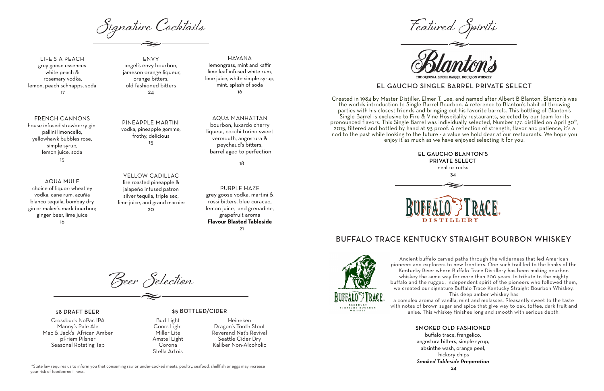**Beer Selection**

LIFE'S A PEACH grey goose essences white peach & rosemary vodka, lemon, peach schnapps, soda 17

FRENCH CANNONS house infused strawberry gin, pallini limoncello, yellowhawk bubbles rose, simple syrup, lemon juice, soda 15

> YELLOW CADILLAC fire roasted pineapple & jalapeño infused patron silver tequila, triple sec, lime juice, and grand marnier  $20$

AQUA MULE choice of liquor: wheatley vodka, cane rum, azuñia blanco tequila, bombay dry gin or maker's mark bourbon; ginger beer, lime juice 16

ENVY angel's envy bourbon, jameson orange liqueur, orange bitters, old fashioned bitters 24

PINEAPPLE MARTINI vodka, pineapple gomme, frothy, delicious

15

HAVANA lemongrass, mint and kaffir lime leaf infused white rum, lime juice, white simple syrup, mint, splash of soda 16

AQUA MANHATTAN bourbon, luxardo cherry liqueur, cocchi torino sweet vermouth, angostura & peychaud's bitters, barrel aged to perfection

18

PURPLE HAZE

grey goose vodka, martini & rossi bitters, blue curacao, lemon juice, and grenadine, grapefruit aroma **Flavour Blasted Tableside** 21



#### \$8 DRAFT BEER

Crossbuck NoPac IPA Manny's Pale Ale Mac & Jack's African Amber pFriem Pilsner Seasonal Rotating Tap

### \$5 BOTTLED/CIDER

Bud Light Coors Light Miller Lite Amstel Light Corona Stella Artois

Heineken Dragon's Tooth Stout Reverand Nat's Revival Seattle Cider Dry Kaliber Non-Alcoholic

# BUFFALO TRACE KENTUCKY STRAIGHT BOURBON WHISKEY



Ancient buffalo carved paths through the wilderness that led American pioneers and explorers to new frontiers. One such trail led to the banks of the Kentucky River where Buffalo Trace Distillery has been making bourbon whiskey the same way for more than 200 years. In tribute to the mighty buffalo and the rugged, independent spirit of the pioneers who followed them, we created our signature Buffalo Trace Kentucky Straight Bourbon Whiskey. This deep amber whiskey has

a complex aroma of vanilla, mint and molasses. Pleasantly sweet to the taste with notes of brown sugar and spice that give way to oak, toffee, dark fruit and anise. This whiskey finishes long and smooth with serious depth.

## SMOKED OLD FASHIONED

buffalo trace, frangelico, angostura bitters, simple syrup, absinthe wash, orange peel, hickory chips *Smoked Tableside Preparation* 24

**Signature Cocktails Featured Spirits**

\*State law requires us to inform you that consuming raw or under-cooked meats, poultry, seafood, shellfish or eggs may increase your risk of foodborne illness.

Created in 1984 by Master Distiller, Elmer T. Lee, and named after Albert B Blanton, Blanton's was the worlds introduction to Single Barrel Bourbon. A reference to Blanton's habit of throwing parties with his closest friends and bringing out his favorite barrels. This bottling of Blanton's Single Barrel is exclusive to Fire & Vine Hospitality restaurants, selected by our team for its pronounced flavors. This Single Barrel was individually selected, Number 177, distilled on April 30<sup>th</sup>, 2015, filtered and bottled by hand at 93 proof. A reflection of strength, flavor and patience, it's a nod to the past while looking to the future - a value we hold dear at our restaurants. We hope you enjoy it as much as we have enjoyed selecting it for you.

# EL GAUCHO SINGLE BARREL PRIVATE SELECT

# EL GAUCHO BLANTON'S PRIVATE SELECT neat or rocks

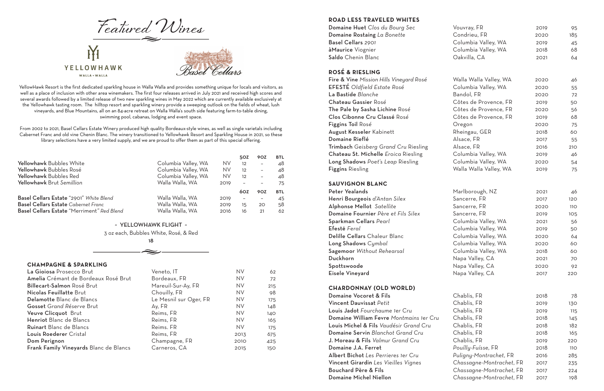### **ROAD LESS TRAVELED WHITES**

### **ROSÉ & RIESLING**

#### **SAUVIGNON BLANC**

# Billecart-Salmon Rosé Brut Mareuil-Sur-Ay, FR NV 215 Nicolas Feuillatte Brut Chouilly, FR NV 98 Delamotte Blanc de Blancs Le Mesnil sur Oger, FR NV 175 Gosset Grand Réserve Brut **Ay, FR** Ay, FR NV 148 Veuve Clicquot Brut **Reims, FR** NV 140 Henriot Blanc de Blancs Reims, FR NV 165 Ruinart Blanc de Blancs Reims. FR NV 175 Louis Roederer Cristal **Reims**, FR 2013 675 **Dom Perignon** 25 Frank Family Vineyards Blanc de Blancs Carneros, CA 2015 150

| Domaine Huet Clos du Bourg Sec                    | Vouvray, FR              | 2019 | 95  |
|---------------------------------------------------|--------------------------|------|-----|
| Domaine Rostaing La Bonette                       | Condrieu, FR             | 2020 | 185 |
| Basel Cellars 2901                                | Columbia Valley, WA      | 2019 | 45  |
| <b>àMaurice</b> Viognier                          | Columbia Valley, WA      | 2018 | 68  |
| <b>Saldo</b> Chenin Blanc                         | Oakvilla, CA             | 2021 | 64  |
| ROSÉ & RIESLING                                   |                          |      |     |
| Fire & Vine Mission Hills Vineyard Rosé           | Walla Walla Valley, WA   | 2020 | 46  |
| EFESTÉ Oldfield Estate Rosé                       | Columbia Valley, WA      | 2020 | 55  |
| La Bastide Blanche                                | Bandol, FR               | 2020 | 72  |
| <b>Chateau Gassier Rosé</b>                       | Côtes de Provence, FR    | 2019 | 50  |
| The Pale by Sasha Lichine Rosé                    | Côtes de Provence, FR    | 2020 | 56  |
| Clos Cibonne Cru Classé Rosé                      | Côtes de Provence, FR    | 2019 | 68  |
| Figgins Toil Rosé                                 | Oregon                   | 2020 | 75  |
| <b>August Kesseler</b> Kabinett                   | Rheingau, GER            | 2018 | 60  |
| <b>Domaine Rieflé</b>                             | Alsace, FR               | 2017 | 55  |
| Trimbach Geisberg Grand Cru Riesling              | Alsace, FR               | 2016 | 210 |
| Chateau St. Michelle Eroica Riesling              | Columbia Valley, WA      | 2019 | 46  |
| Long Shadows Poet's Leap Riesling                 | Columbia Valley, WA      | 2020 | 54  |
| <b>Figgins</b> Riesling                           | Walla Walla Valley, WA   | 2019 | 75  |
| <b>SAUVIGNON BLANC</b>                            |                          |      |     |
| Peter Yealands                                    | Marlborough, NZ          | 2021 | 46  |
| Henri Bourgeois d'Antan Silex                     | Sancerre, FR             | 2017 | 120 |
| Alphonse Mellot Satellite                         | Sancerre, FR             | 2020 | 110 |
| Domaine Fournier Père et Fils Silex               | Sancerre, FR             | 2019 | 105 |
| Sparkman Cellars Pearl                            | Columbia Valley, WA      | 2021 | 56  |
| Efestē Feral                                      | Columbia Valley, WA      | 2019 | 50  |
| Delille Cellars Chaleur Blanc                     | Columbia Valley, WA      | 2020 | 64  |
| Long Shadows Cymbal                               | Columbia Valley, WA      | 2020 | 60  |
| Sagemoor Without Rehearsal                        | Columbia Valley, WA      | 2018 | 60  |
| Duckhorn                                          | Napa Valley, CA          | 2021 | 70  |
| Spottswoode                                       | Napa Valley, CA          | 2020 | 92  |
| Eisele Vineyard                                   | Napa Valley, CA          | 2017 | 220 |
| <b>CHARDONNAY (OLD WORLD)</b>                     |                          |      |     |
| Domaine Vocoret & Fils                            | Chablis, FR              | 2018 | 78  |
| Vincent Dauvissat Petit                           | Chablis, FR              | 2019 | 130 |
| <b>Louis Jadot</b> Fourchaume 1er Cru             | Chablis, FR              | 2019 | 115 |
| Domaine William Fevre Montmains 1er Cru           | Chablis, FR              | 2018 | 145 |
| <b>Louis Michel &amp; Fils</b> Vaudésir Grand Cru | Chablis, FR              | 2018 | 182 |
| Domaine Servin Blanchot Grand Cru                 | Chablis, FR              | 2018 | 165 |
| <b>J. Moreau &amp; Fils</b> Valmur Grand Cru      | Chablis, FR              | 2019 | 220 |
| Domaine J.A. Ferret                               | Pouílly-Fuísse, FR       | 2018 | 11O |
| Albert Bichot Les Perrieres 1er Cru               | Puligny-Montrachet, FR   | 2016 | 285 |
| Vincent Girardin Les Vieilles Vignes              | Chassagne-Montrachet, FR | 2017 | 235 |
| <b>Bouchard Père &amp; Fils</b>                   | Chassagne-Montrachet, FR | 2017 | 224 |
| <b>Domaine Michel Niellon</b>                     | Chassagne-Montrachet, FR | 2017 | 198 |

## **CHARDONNAY (OLD WORLD)**

YellowHawk Resort is the first dedicated sparkling house in Walla Walla and provides something unique for locals and visitors, as well as a place of inclusion with other area winemakers. The first four releases arrived in July 2021 and received high scores and several awards followed by a limited release of two new sparkling wines in May 2022 which are currently available exclusively at the Yellowhawk tasting room. The hilltop resort and sparkling winery provide a sweeping outlook on the fields of wheat, lush vineyards, and Blue Mountains, all on an 84-acre retreat on Walla Walla's south side featuring farm-to-table dining, swimming pool, cabanas, lodging and event space.



From 2002 to 2021, Basel Cellars Estate Winery produced high quality Bordeaux-style wines, as well as single varietals including Cabernet Franc and old vine Chenin Blanc. The winery transitioned to Yellowhawk Resort and Sparkling House in 2021, so these library selections have a very limited supply, and we are proud to offer them as part of this special offering.

|                                            |                     |           | 50Z                      | 90Z                      | <b>BTL</b> |
|--------------------------------------------|---------------------|-----------|--------------------------|--------------------------|------------|
| Yellowhawk Bubbles White                   | Columbia Valley, WA | <b>NV</b> | 12                       | $\overline{\phantom{a}}$ | 48         |
| Yellowhawk Bubbles Rosé                    | Columbia Valley, WA | <b>NV</b> | 12                       | $\overline{\phantom{0}}$ | 48         |
| Yellowhawk Bubbles Red                     | Columbia Valley, WA | <b>NV</b> | 12                       | $\overline{\phantom{0}}$ | 48         |
| Yellowhawk Brut Semillion                  | Walla Walla, WA     | 2019      |                          | $\overline{\phantom{m}}$ | 75         |
|                                            |                     |           | 60Z                      | <b>90Z</b>               | <b>BTL</b> |
| Basel Cellars Estate "2901" White Blend    | Walla Walla, WA     | 2019      | $\overline{\phantom{a}}$ | $\overline{\phantom{m}}$ | 45         |
| <b>Basel Cellars Estate</b> Cabernet Franc | Walla Walla, WA     | 2019      | 15                       | 20                       | 58         |
| Basel Cellars Estate "Merriment" Red Blend | Walla Walla, WA     | 2016      | 16                       | 21                       | 62         |

~ YELLOWHAWK FLIGHT ~

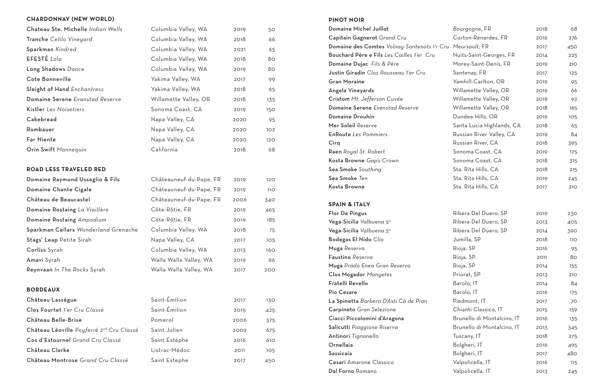### **CHARDONNAY (NEW WORLD)**

Château Léoville *Poyferré 2nd Cru Classé* Saint Julien 2009 675 Cos d'Estournel Grand Cru Classé Saint Estèphe 2016 610 Château Clarke Listrac-Médoc 2011 105

| Chateau Ste. Michelle Indian Wells   | Columbia Valley, WA     | 2019 | 50         |
|--------------------------------------|-------------------------|------|------------|
| Tranche Celilo Vineyard              | Columbia Valley, WA     | 2018 | 66         |
| Sparkman Kindred                     | Columbia Valley, WA     | 2021 | 65         |
| EFESTÉ Lola                          | Columbia Valley, WA     | 2018 | 80         |
| Long Shadows Dance                   | Columbia Valley, WA     | 2019 | 80         |
| Cote Bonneville                      | Yakima Valley, WA       | 2017 | 99         |
| Sleight of Hand Enchantress          | Yakima Valley, WA       | 2018 | 65         |
| Domaine Serene Evanstad Reserve      | Willamette Valley, OR   | 2018 | 135        |
| Kistler Les Noisetiers               | Sonoma Coast, CA        | 2019 | 150        |
| Cakebread                            | Napa Valley, CA         | 2020 | 95         |
| Rombauer                             | Napa Valley, CA         | 2020 | 102        |
| <b>Far Niente</b>                    | Napa Valley, CA         | 2020 | 120        |
| Orin Swift Mannequin                 | California              | 2018 | 68         |
|                                      |                         |      |            |
| <b>ROAD LESS TRAVELED RED</b>        |                         |      |            |
| Domaine Raymond Usseglio & Fils      | Châteauneuf-du-Pape, FR | 2019 | 120        |
| Domaine Chante Cigale                | Châteauneuf-du-Pape, FR | 2019 | <b>110</b> |
| Château de Beaucastel                | Châteauneuf-du-Pape, FR | 2006 | 340        |
| Domaine Rostaing La Viaillère        | Côte-Rôtie, FR          | 2019 | 465        |
| Domaine Rostaing Ampodium            | Côte-Rôtie, FR          | 2019 | 185        |
| Sparkman Cellars Wonderland Grenache | Columbia Valley, WA     | 2018 | 75         |
| Stags' Leap Petite Sirah             | Napa Valley, CA         | 2017 | 105        |
| Corliss Syrah                        | Columbia Valley, WA     | 2013 | 160        |
| Amavi Syrah                          | Walla Walla Valley, WA  | 2019 | 66         |
| Reynvaan In The Rocks Syrah          | Walla Walla Valley, WA  | 2017 | 200        |
|                                      |                         |      |            |
| <b>BORDEAUX</b>                      |                         |      |            |
| Château Lassègue                     | Saint-Émilion           | 2017 | 130        |
| Clos Fourtet l'er Cru Classé         | Saint-Émilion           | 2015 | 425        |
|                                      |                         |      |            |

Château Montrose *Grand Cru Classé* Saint Estephe 2017 450

#### **PINOT NOIR**

| <b>Domaine Michel Juillot</b>                             | Bourgogne, FR              | 2018 | 68         |
|-----------------------------------------------------------|----------------------------|------|------------|
| Capitain Gagnerot Grand Cru                               | Corton-Renardes, FR        | 2016 | 276        |
| Domaine des Comtes Volnay-Santenots 1'r Cru Meursault, FR |                            | 2017 | 450        |
| Bouchard Père e Fils Les Cailles 1'er Cru                 | Nuits-Saint-Georges, FR    | 2014 | 225        |
| Domaine Dujac Fils & Père                                 | Morey-Saint-Denis, FR      | 2019 | 210        |
| Justin Giradin Clos Rousseau 1'er Cru                     | Santenay, FR               | 2017 | 125        |
| <b>Gran Moraine</b>                                       | Yamhill-Carlton, OR        | 2019 | 95         |
| Angela Vineyards                                          | Willamette Valley, OR      | 2019 | 66         |
| Cristom Mt. Jefferson Cuvée                               | Willamette Valley, OR      | 2019 | 92         |
| Domaine Serene Evenstad Reserve                           | Willamette Valley, OR      | 2018 | 165        |
| <b>Domaine Drouhin</b>                                    | Dundee Hills, OR           | 2019 | 105        |
| Mer Soleil Reserve                                        | Santa Lucia Highlands, CA  | 2018 | 65         |
| <b>EnRoute</b> Les Pommiers                               | Russian River Valley, CA   | 2019 | 84         |
| Cirq                                                      | Russian River, CA          | 2018 | 395        |
| <b>Raen</b> Royal St. Robert                              | Sonoma Coast, CA           | 2019 | 175        |
| Kosta Browne Gap's Crown                                  | Sonoma Coast, CA           | 2018 | 315        |
| Sea Smoke Southing                                        | Sta. Rita Hills, CA        | 2018 | 215        |
| <b>Sea Smoke</b> Ten                                      | Sta. Rita Hills, CA        | 2019 | 245        |
| Kosta Browne                                              | Sta. Rita Hills, CA        | 2017 | 210        |
| <b>SPAIN &amp; ITALY</b>                                  |                            |      |            |
| <b>Flor De Pingus</b>                                     | Ribera Del Duero, SP       | 2019 | 230        |
| Vega-Sicilia Valbuena 5°                                  | Ribera Del Duero, SP       | 2013 | 405        |
| Vega-Sicilia Valbuena 5°                                  | Ribera Del Duero, SP       | 2014 | 390        |
| <b>Bodegas El Nido Clio</b>                               | Jumilla, SP                | 2018 | 110        |
| Muga Reserva                                              | Rioja, SP                  | 2016 | 95         |
| Faustino Reserva                                          | Rioja, SP                  | 2011 | 80         |
| Muga Prado Enea Gran Reserva                              | Rioja, SP                  | 2014 | 155        |
| Clos Mogador Manyetes                                     | Priorat, SP                | 2013 | <b>210</b> |
| Fratelli Revello                                          | Barolo, IT                 | 2014 | 84         |
| Pio Cesare                                                | Barolo, IT                 | 2016 | 175        |
| La Spinetta Barbera D'Asti Cà de Pian                     | Piedmont, IT               | 2017 | 70         |
| Carpineto Gran Selezione                                  | Chianti Classico, IT       | 2015 | 159        |
| Ciacci Piccolomini d'Aragona                              | Brunello di Montalcino, IT | 2016 | 135        |
| Salicutti Piaggione Riserva                               | Brunello di Montalcino, IT | 2013 | 345        |
| Antinori Tignanello                                       | Tuscany, IT                | 2018 | 275        |
| Ornellaia                                                 | Bolgheri, IT               | 2016 | 495        |
| Sassicaia                                                 | Bolgheri, IT               | 2017 | 480        |
| <b>Cesari</b> Amarone Classico                            | Valpolicella, IT           | 2016 | 115        |
| Dal Forno Romano                                          | Valpolicella, IT           | 2013 | 245        |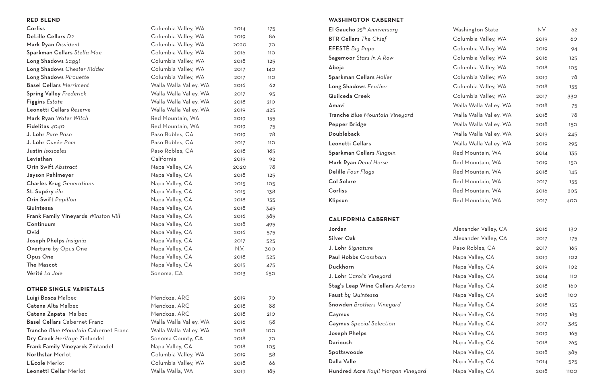#### **RED BLEND** Corliss Columbia Valley, WA 2014 175 DeLille Cellars D<sub>2</sub> **DeLille Cellars D2 Columbia Valley, WA** 2019 86 Mark Ryan *Dissident* Columbia Valley, WA 2020 70 Sparkman Cellars *Stella Mae* Columbia Valley, WA 2016 110 Long Shadows *Saggi* Columbia Valley, WA 2018 125 Long Shadows Chester Kidder **Columbia Valley, WA** 2017 140 Long Shadows *Pirouette* Columbia Valley, WA 2017 110 Basel Cellars Merriment **Exercise Server Walla Walla Valley, WA** 2016 62 Spring Valley Frederick **Walla Walla Valley, WA** 2017 95 Figgins *Estate* 210 Leonetti Cellars *Reserve* Walla Walla Valley, WA 2019 425 Mark Ryan *Water Witch* **Red Mountain, WA** 2019 155 Fidelitas 4040 **Red Mountain, WA** 2019 75 J. Lohr *Pure Paso* **Paso Robles, CA** 2019 78 J. Lohr *Cuvée Pom* Paso Robles, CA 2017 110 **Justin** *Isosceles* 185 Leviathan California 2019 92 Orin Swift *Abstract* 2020 78 Jayson Pahlmeyer **Napa Valley, CA** 2018 125 Charles Krug *Generations* **Napa Valley, CA** 2015 105 St. Supéry *élu* **138** Napa Valley, CA 2015 138 Orin Swift *Papillon* 155 Quintessa **Calley, CA** 2018 345 Frank Family Vineyards *Winston Hill* Napa Valley, CA 2016 385 Continuum 1995 Napa Valley, CA 2018 495 Ovid **Ovid** Napa Valley, CA 2016 575 Joseph Phelps *Insignia* **Napa Valley, CA** 2017 525 Overture by Opus One Napa Valley, CA N.V. 300 Opus One **Napa Valley, CA** 2018 525 The Mascot **Napa Valley, CA** 2015 475 Vérité La Joie **Carlos Commandial CA** 2013 650 **OTHER SINGLE VARIETALS** Luigi Bosca Malbec **Mendoza, ARG** 2019 70 Catena Alta Malbec **Mendoza, ARG** 2018 88 Catena Zapata Malbec Mendoza, ARG 2018 210 Basel Cellars Cabernet Franc Walla Walla Walla Valley, WA 2016 58 Tranche *Blue Mountain* Cabernet Franc Walla Walla Valley, WA 2018 100 **Dry Creek** Heritage Zinfandel Sonoma County, CA 2018 70 Frank Family Vineyards Zinfandel Napa Valley, CA 2018 105 Northstar Merlot **Columbia Valley, WA** 2019 58 **WASHINGTON CABERNET El Gaucho** 25<sup>th</sup> Anniversary **BTR Cellars** *The Chief* EFESTÉ *Big Papa* Sagemoor *Stars In A Row* Sparkman Cellars Holler Long Shadows Feather Quilceda Creek **Tranche** Blue Mountain Vineyard Pepper Bridge Leonetti Cellars **Sparkman Cellars Kingpin Mark Ryan** Dead Horse **Delille** Four Flags **CALIFORNIA CABERNET J. Lohr** Signature **Paul Hobbs** Crossbarn **J. Lohr** Carol's Vineyard Stag's Leap Wine Cellars Artemis Faust by Quintessa Snowden *Brothers Vineyard* **Caymus** Special Selection Joseph Phelps Spottswoode

Leonetti Cellar Merlot Walla Walla, WA 2019 185

L'Ecole Merlot **Columbia Valley, WA** 2018 66

| El Gaucho 25 <sup>th</sup> Anniversary | Washington State       | <b>NV</b> | 62         |
|----------------------------------------|------------------------|-----------|------------|
| <b>BTR Cellars</b> The Chief           | Columbia Valley, WA    | 2019      | 60         |
| EFESTÉ Big Papa                        | Columbia Valley, WA    | 2019      | 94         |
| Sagemoor Stars In A Row                | Columbia Valley, WA    | 2016      | 125        |
| Abeja                                  | Columbia Valley, WA    | 2018      | 105        |
| Sparkman Cellars Holler                | Columbia Valley, WA    | 2019      | 78         |
| Long Shadows Feather                   | Columbia Valley, WA    | 2018      | 155        |
| Quilceda Creek                         | Columbia Valley, WA    | 2017      | 330        |
| Amavi                                  | Walla Walla Valley, WA | 2018      | 75         |
| Tranche Blue Mountain Vineyard         | Walla Walla Valley, WA | 2018      | 78         |
| Pepper Bridge                          | Walla Walla Valley, WA | 2018      | 150        |
| Doubleback                             | Walla Walla Valley, WA | 2019      | 245        |
| Leonetti Cellars                       | Walla Walla Valley, WA | 2019      | 295        |
| Sparkman Cellars Kingpin               | Red Mountain, WA       | 2014      | 135        |
| Mark Ryan Dead Horse                   | Red Mountain, WA       | 2019      | 150        |
| Delille Four Flags                     | Red Mountain, WA       | 2018      | 145        |
| Col Solare                             | Red Mountain, WA       | 2017      | 155        |
| Corliss                                | Red Mountain, WA       | 2016      | 205        |
| Klipsun                                | Red Mountain, WA       | 2017      | 400        |
| <b>CALIFORNIA CABERNET</b>             |                        |           |            |
| Jordan                                 | Alexander Valley, CA   | 2016      | 130        |
| Silver Oak                             | Alexander Valley, CA   | 2017      | 175        |
| J. Lohr Signature                      | Paso Robles, CA        | 2017      | 165        |
| Paul Hobbs Crossbarn                   | Napa Valley, CA        | 2019      | 102        |
| Duckhorn                               | Napa Valley, CA        | 2019      | 102        |
| J. Lohr Carol's Vineyard               | Napa Valley, CA        | 2014      | <b>110</b> |
| Stag's Leap Wine Cellars Artemis       | Napa Valley, CA        | 2018      | 160        |
| Faust by Quintessa                     | Napa Valley, CA        | 2018      | 100        |
| Snowden Brothers Vineyard              | Napa Valley, CA        | 2018      | 155        |
| Caymus                                 | Napa Valley, CA        | 2019      | 185        |
| Caymus Special Selection               | Napa Valley, CA        | 2017      | 385        |
| Joseph Phelps                          | Napa Valley, CA        | 2019      | 165        |
| Darioush                               | Napa Valley, CA        | 2018      | 265        |
| Spottswoode                            | Napa Valley, CA        | 2018      | 385        |
| Dalla Valle                            | Napa Valley, CA        | 2014      | 525        |
| Hundred Acre Kayli Morgan Vineyard     | Napa Valley, CA        | 2018      | 1100       |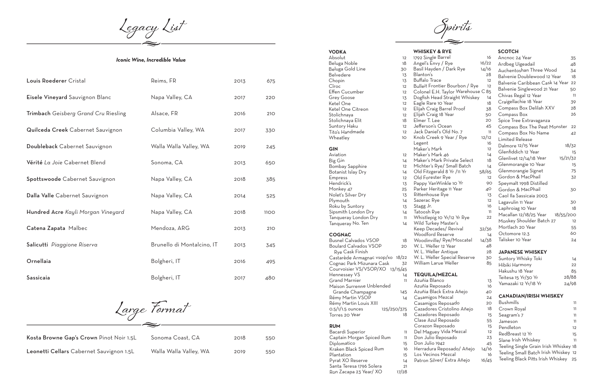- Reposa **Black E** iigos Me iigos Re<mark>p</mark> ores Cri ores Rep Azul Rep on Repos aguey Vi
- Don Julio Reposado <sup>23</sup> alio 1942
- dura Rep
- cinos M
- 
- Patron Silver/
- Santa Teresa <sup>1796</sup> Solera <sup>21</sup>

Ron Zacapa 23 Year/ XO

| <b>VODKA</b>                     |             | <b>WHISKEY &amp; R</b>          |
|----------------------------------|-------------|---------------------------------|
| Absolut                          | 12          | 1792 Single Bar                 |
| Beluga Noble                     | 18          | Angel's Envy /                  |
| Beluga Gold Line                 | 30          | Basil Hayden /                  |
| Belvedere                        | 13          | Blanton's                       |
| Chopin                           | 13          | Buffalo Trace                   |
| Cîroc                            | 12          | <b>Bulleit Frontier</b>         |
| <b>Effen Cucumber</b>            | 12          | Colonel E.H. Ta                 |
| <b>Grey Goose</b>                | 13          | Dogfish Head S                  |
| Ketel One                        | 12          | Eagle Rare 10                   |
| Ketel One Citreon                | 12          | Elijah Craig Ba                 |
| Stolichnaya                      | 12          | Elijah Craig 18                 |
| Stolichnaya Elit                 | 18          | Elmer T. Lee                    |
| Suntory Haku                     | 12          | Jefferson's Oce                 |
| Tito's Handmade                  | 12          | Jack Daniel's C                 |
| Wheatley                         | 10          | Knob Creek 9                    |
|                                  |             | Legent                          |
| <b>GIN</b>                       |             | Maker's Mark                    |
| Aviation                         | 12          | Maker's Mark 2                  |
| Big Gin                          | 14          | Maker's Mark F                  |
| <b>Bombay Sapphire</b>           | 12          | Michter's Rye/                  |
| Botanist Islay Dry               | 14          | Old Fitzgerald                  |
| Empress                          | 12          | Old Forester R                  |
| Hendrick's                       | 13          | Pappy VanWin                    |
| Monkey 47                        | 25          | Parker Heritag                  |
| Nolet's Silver Dry               | 13          | Rittenhouse Ry                  |
| Plymouth                         | 14          | Sazerac Rye                     |
| Roku by Suntory                  | 13          | Stagg Jr.                       |
| Sipsmith London Dry              | 14          | Tatoosh Rye                     |
| Tanqueray London Dry             | 11          | Whistlepig 10                   |
| Tanqueray No. Ten                | 14          | Wild Turkey M<br>Keep Decades   |
| <b>COGNAC</b>                    |             | Woodford Res                    |
| <b>Busnel Calvados VSOP</b>      | 18          | Woodinville/R                   |
| <b>Boulard Calvados VSOP</b>     | 20          | W. L. Weller 12                 |
| Rye Cask Finish                  |             | W. L. Weller Ar                 |
| Castarède Armagnac vsop/xo 18/22 |             | W. L. Weller Sp                 |
| Cognac Park Mizunara Cask        | 32          | William Larue '                 |
| Courvoisier VS/VSOP/XO 13/15/45  |             |                                 |
| Hennessey VS                     | 14          | <b>TEQUILA/ME</b>               |
| <b>Grand Marnier</b>             | 11          | Azuñia Blanco                   |
| Maison Surrenne Unblended        |             | Azuñia Reposa                   |
| Grande Champagne                 | 145         | Azuñia Black E                  |
| Rémy Martin VSOP                 | 14          | Casamigos Me                    |
| Rémy Martin Louis XIII           |             | Casamigos Rep                   |
| $0.5/1/1.5$ ounces               | 125/250/375 | Cazadores Cri                   |
| Torres 20 Year                   | 18          | Cazadores Rep<br>Clase Azul Rep |
| <b>RUM</b>                       |             | Corazon Repo                    |
| Bacardi Superior                 | 11          | Del Maguey Vi                   |
| Captain Morgan Spiced Rum        | 11          | Don Julio Repe                  |
| Diplomatico                      | 15          | Don Julio 1942                  |
| Kraken Black Spiced Rum          | 16          | Herradura Rep                   |
| Plantation                       | 15          | Los Vecinos M                   |
| Pyrat XO Reserve                 | 14          | Patron Silver/                  |
|                                  |             |                                 |

#### **WHISKEY & RYE**

| 1792 Single Barrel                 | 16              |
|------------------------------------|-----------------|
| Angel's Envy / Rye                 | 16/22           |
| Basil Hayden / Dark Rye            | 14/16           |
| Blanton's                          | 28              |
| Buffalo Trace                      | 12              |
| Bulleit Frontier Bourbon / Rye     | 12              |
| Colonel E.H. Taylor Warehouse C 85 |                 |
| Dogfish Head Straight Whiskey      | 14              |
| Eagle Rare 10 Year                 | 18              |
| Elijah Craig Barrel Proof          | 38              |
| Elijah Craig 18 Year               | 50              |
| Elmer T. Lee                       | 20              |
| Jefferson's Ocean                  | 45              |
| Jack Daniel's Old No. 7            | 11              |
| Knob Creek 9 Year / Rye            | 12/12           |
| Legent                             | 16              |
| Maker's Mark                       | 12              |
| Maker's Mark 46                    | $\overline{14}$ |
| Maker's Mark Private Select        | 18              |
| Michter's Rye/ Small Batch         | $\overline{14}$ |
| Old Fitzgerald 8 Yr /11 Yr         | 58/65           |
| Old Forester Rye                   | 12              |
| Pappy VanWinkle 10 Yr              | 9С              |
| Parker Heritage 11 Year            | 40              |
| Rittenhouse Rye                    | 13              |
| Sazerac Rye                        | 12              |
| Stagg Jr.                          | 16              |
| Tatoosh Rye                        | 11              |
| Whistlepig 10 Yr/12 Yr Rye         | 22              |
| Wild Turkey Master's               |                 |
| Keep Decades/ Revival              | 32/36           |
| Woodford Reserve                   | 14              |
| Woodinville/ Rye/Moscatel          | 14/38           |
| W. L. Weller 12 Year               | 48              |
| W. L. Weller Antique               | 28              |
| W. L. Weller Special Reserve       | 30              |
| William Larue Weller               | 85              |
|                                    |                 |

| $\mathfrak{S}$          | Ancnoc 24 Year                        | 35       |
|-------------------------|---------------------------------------|----------|
| $\overline{c}$          | Ardbeg Uigeadail                      | 48       |
| 5                       | Auchentoshan Three Wood               | 34       |
| $\mathbf{3}$            | Balvenie Doublewood 12 Year           | 18       |
| $\frac{2}{2}$           | Balvenie Caribbean Cask 14 Year       | 22       |
|                         | Balvenie Singlewood 21 Year           | 50       |
| 5                       | Chivas Regal 12 Year                  | 11       |
| 4                       | Craigellachie 18 Year                 | 39       |
| 3                       | Compass Box Delilah XXV               | 28       |
| 3                       |                                       |          |
| $\mathsf{C}$            | Compass Box                           | 26       |
| $\circ$                 | Spice Tree Extravaganza               |          |
| 5<br>$\overline{1}$     | Compass Box The Peat Monster          | 22       |
| $\overline{c}$          | Compass Box No Name                   | 42       |
| 6                       | <b>Limited Release</b>                |          |
| $\overline{\mathbf{c}}$ | Dalmore 12/15 Year                    | 18/32    |
| 4                       | Glenfiddich 12 Year                   | 15       |
| 8                       | Glenlivet 12/14/18 Year               | 15/21/32 |
| 4                       | Glenmorangie 10 Year                  | 15       |
| 5                       | Glenmorangie Signet                   | 75       |
| $\overline{\mathbf{c}}$ | Gordon & MacPhail                     | 32       |
| $\circ$                 | Speymalt 1998 Distilled               |          |
| C                       | Gordon & MacPhail                     | 30       |
|                         | Caol Ila Sassicaia 2003               |          |
| 3<br>2                  | Lagavulin 11 Year                     | 30       |
| 6                       | Laphroiag 10 Year                     | 18       |
| I1                      | Macallan 12/18/25 Year 18/55/200      |          |
| $\overline{c}$          | Monkey Shoulder Batch 27              | 12       |
|                         | Mortlach 20 Year                      | 55       |
| 6                       | Octomore 12.3                         | 60       |
| 4                       | Talisker 10 Year                      | 24       |
| 8<br>8                  |                                       |          |
| 8                       | <b>JAPANESE WHISKEY</b>               |          |
| $\circ$                 |                                       |          |
| 5                       | Suntory Whisky Toki                   | 14       |
|                         | Hibiki Harmony                        | 22       |
|                         | Hakushu 18 Year                       | 85       |
|                         | Teitesa 15 Yr/30 Yr                   | 28/88    |
|                         | Yamazaki 12 Yr/18 Yr                  | 24/98    |
|                         |                                       |          |
|                         | <b>CANADIAN/IRISH WHISKEY</b>         |          |
|                         | <b>Bushmills</b>                      | 11       |
|                         | Crown Royal                           | 11       |
|                         | Seagram's 7                           | 11       |
|                         | Jameson                               | 11       |
|                         | Pendleton                             | 12       |
| ろんつ 4つ8 55523           | RedBreast 12 Yr                       | 15       |
|                         | Slane Irish Whiskey                   | 11       |
| 5                       | Teeling Single Grain Irish Whiskey 18 |          |
| 6<br>6                  | Teeling Small Batch Irish Whiskey 12  |          |
| 5                       | Teeling Black Pitts Irish Whiskey     | 25       |
|                         |                                       |          |
|                         |                                       |          |

| <b>Blanco</b>            | 13    |
|--------------------------|-------|
| ı Reposado               | 16    |
| <b>Black Extra Añejo</b> | 40    |
| iigos Mezcal             | 24    |
| iigos Reposado           | 20    |
| ores Cristolino Añejo    | 18    |
| ores Reposado            | 15    |
| Azul Reposado            | 55    |
| on Reposado              | 15    |
| aguey Vida Mezcal        | 12    |
| ulio Reposado            | 23    |
| 1942 lio                 | 45    |
| lura Reposado/ Añejo     | 14/16 |
| cinos Mezcal             | 16    |
| Silver/ Extra Añejo      | 16/45 |
|                          |       |

#### **SCOTCH**

**Spirits**

- $\sqrt{\frac{2}{1}}$ Trace **Frontier**
- el E.H. T
- n Head S
- $\mathsf{R}$ are 10  $\mathsf{R}$ Craig Bar
- Craig 18
- T. Lee
- on's Oce
	- aniel's C
	- Creek 9
	- Mark 1
	- Mark .
	- , Mark r's Rye/
- tzgerald <sub>8</sub>
- rester <mark>F</mark>
- VanWin
- Heritag nouse R
- c Rye
- Jr. 16
- h Rye
- epig 10
	- urkey Ma )ecades
	- ا<br>ord Res
	- nville/ R
	- Veller 12
	- Veller Ar Veller Sp
	- ነ Larue

# **ILA/MEZCAL**

| Louis Roederer Cristal               | Reims, FR                  | 2013 | 675         |
|--------------------------------------|----------------------------|------|-------------|
| Eisele Vineyard Sauvignon Blanc      | Napa Valley, CA            | 2017 | 220         |
| Trimbach Geisberg Grand Cru Riesling | Alsace, FR                 | 2016 | 210         |
| Quilceda Creek Cabernet Sauvignon    | Columbia Valley, WA        | 2017 | 330         |
| Doubleback Cabernet Sauvignon        | Walla Walla Valley, WA     | 2019 | 245         |
| Vérité La Joie Cabernet Blend        | Sonoma, CA                 | 2013 | 650         |
| Spottswoode Cabernet Sauvignon       | Napa Valley, CA            | 2018 | 385         |
| Dalla Valle Cabernet Sauvignon       | Napa Valley, CA            | 2014 | 525         |
| Hundred Acre Kayli Morgan Vineyard   | Napa Valley, CA            | 2018 | <b>1100</b> |
| Catena Zapata Malbec                 | Mendoza, ARG               | 2013 | 210         |
| Salicutti Piaggione Riserva          | Brunello di Montalcino, IT | 2013 | 345         |
| Ornellaia                            | Bolgheri, IT               | 2016 | 495         |
| Sassicaia                            | Bolgheri, IT               | 2017 | 480         |

#### *Iconic Wine, Incredible Value*

**Large Format**

| Sonoma Coast, CA       | 2018 | 550 |
|------------------------|------|-----|
| Walla Walla Valley, WA | 2019 | 550 |

| Kosta Browne Gap's Crown Pinot Noir 1.5L | Sonoma Coast, CA       | 2018 | 550 |
|------------------------------------------|------------------------|------|-----|
| Leonetti Cellars Cabernet Sauvignon 1.5L | Walla Walla Valley, WA | 2019 | 550 |

**Legacy List**